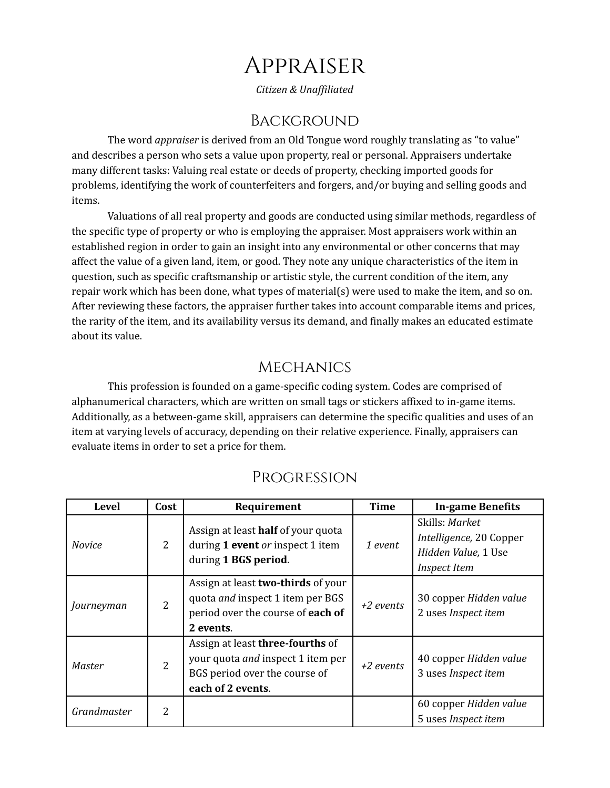# Appraiser

*Citizen & Unaf iliated*

#### **BACKGROUND**

The word *appraiser* is derived from an Old Tongue word roughly translating as "to value" and describes a person who sets a value upon property, real or personal. Appraisers undertake many different tasks: Valuing real estate or deeds of property, checking imported goods for problems, identifying the work of counterfeiters and forgers, and/or buying and selling goods and items.

Valuations of all real property and goods are conducted using similar methods, regardless of the specific type of property or who is employing the appraiser. Most appraisers work within an established region in order to gain an insight into any environmental or other concerns that may affect the value of a given land, item, or good. They note any unique characteristics of the item in question, such as specific craftsmanship or artistic style, the current condition of the item, any repair work which has been done, what types of material(s) were used to make the item, and so on. After reviewing these factors, the appraiser further takes into account comparable items and prices, the rarity of the item, and its availability versus its demand, and finally makes an educated estimate about its value.

## **MECHANICS**

This profession is founded on a game-specific coding system. Codes are comprised of alphanumerical characters, which are written on small tags or stickers affixed to in-game items. Additionally, as a between-game skill, appraisers can determine the specific qualities and uses of an item at varying levels of accuracy, depending on their relative experience. Finally, appraisers can evaluate items in order to set a price for them.

| <b>Level</b>  | Cost           | Requirement                                                                                                                     | <b>Time</b> | <b>In-game Benefits</b>                                                                 |
|---------------|----------------|---------------------------------------------------------------------------------------------------------------------------------|-------------|-----------------------------------------------------------------------------------------|
| <b>Novice</b> | $\overline{2}$ | Assign at least half of your quota<br>during 1 event or inspect 1 item<br>during 1 BGS period.                                  | 1 event     | Skills: Market<br>Intelligence, 20 Copper<br>Hidden Value, 1 Use<br><b>Inspect Item</b> |
| Journeyman    | 2              | Assign at least two-thirds of your<br>quota <i>and</i> inspect 1 item per BGS<br>period over the course of each of<br>2 events. | +2 events   | 30 copper Hidden value<br>2 uses Inspect item                                           |
| Master        | $\overline{2}$ | Assign at least three-fourths of<br>your quota and inspect 1 item per<br>BGS period over the course of<br>each of 2 events.     | $+2$ events | 40 copper Hidden value<br>3 uses Inspect item                                           |
| Grandmaster   | 2              |                                                                                                                                 |             | 60 copper Hidden value<br>5 uses <i>Inspect item</i>                                    |

## Progression